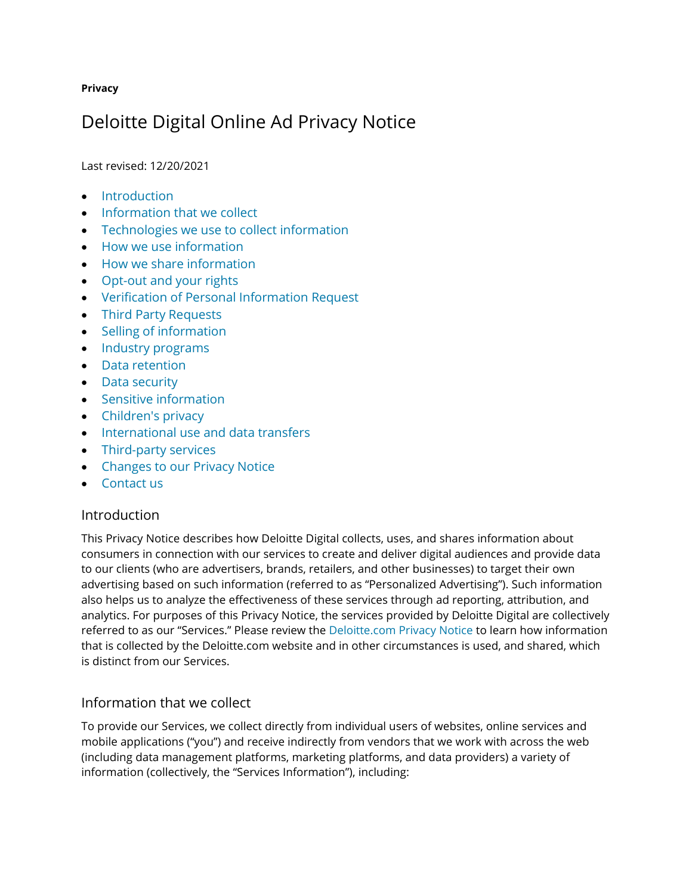#### **Privacy**

# Deloitte Digital Online Ad Privacy Notice

Last revised: 12/20/2021

- [Introduction](https://www2.deloitte.com/us/en/legal/deloitte-digital-online-ad-privacy-policy.html#1)
- [Information that we collect](https://www2.deloitte.com/us/en/legal/deloitte-digital-online-ad-privacy-policy.html#2)
- [Technologies we use to collect information](https://www2.deloitte.com/us/en/legal/deloitte-digital-online-ad-privacy-policy.html#3)
- [How we use information](https://www2.deloitte.com/us/en/legal/deloitte-digital-online-ad-privacy-policy.html#4)
- [How we share information](https://www2.deloitte.com/us/en/legal/deloitte-digital-online-ad-privacy-policy.html#5)
- [Opt-out and your rights](https://www2.deloitte.com/us/en/legal/deloitte-digital-online-ad-privacy-policy.html#6)
- [Verification of Personal Information Request](https://www2.deloitte.com/us/en/legal/deloitte-digital-online-ad-privacy-policy.html#PIR)
- [Third Party Requests](https://www2.deloitte.com/us/en/legal/deloitte-digital-online-ad-privacy-policy.html#TPR)
- [Selling of information](https://www2.deloitte.com/us/en/legal/deloitte-digital-online-ad-privacy-policy.html#7)
- [Industry programs](https://www2.deloitte.com/us/en/legal/deloitte-digital-online-ad-privacy-policy.html#8)
- [Data retention](https://www2.deloitte.com/us/en/legal/deloitte-digital-online-ad-privacy-policy.html#9)
- [Data security](https://www2.deloitte.com/us/en/legal/deloitte-digital-online-ad-privacy-policy.html#10)
- [Sensitive information](https://www2.deloitte.com/us/en/legal/deloitte-digital-online-ad-privacy-policy.html#11)
- [Children's privacy](https://www2.deloitte.com/us/en/legal/deloitte-digital-online-ad-privacy-policy.html#12)
- [International use and data transfers](https://www2.deloitte.com/us/en/legal/deloitte-digital-online-ad-privacy-policy.html#13)
- [Third-party services](https://www2.deloitte.com/us/en/legal/deloitte-digital-online-ad-privacy-policy.html#14)
- [Changes to our Privacy Notice](https://www2.deloitte.com/us/en/legal/deloitte-digital-online-ad-privacy-policy.html#15)
- [Contact us](https://www2.deloitte.com/us/en/legal/deloitte-digital-online-ad-privacy-policy.html#16)

## Introduction

This Privacy Notice describes how Deloitte Digital collects, uses, and shares information about consumers in connection with our services to create and deliver digital audiences and provide data to our clients (who are advertisers, brands, retailers, and other businesses) to target their own advertising based on such information (referred to as "Personalized Advertising"). Such information also helps us to analyze the effectiveness of these services through ad reporting, attribution, and analytics. For purposes of this Privacy Notice, the services provided by Deloitte Digital are collectively referred to as our "Services." Please review the [Deloitte.com Privacy Notice](https://www2.deloitte.com/us/en/legal/privacy.html) to learn how information that is collected by the Deloitte.com website and in other circumstances is used, and shared, which is distinct from our Services[.](https://www2.deloitte.com/us/en.html)

# Information that we collect

To provide our Services, we collect directly from individual users of websites, online services and mobile applications ("you") and receive indirectly from vendors that we work with across the web (including data management platforms, marketing platforms, and data providers) a variety of information (collectively, the "Services Information"), including: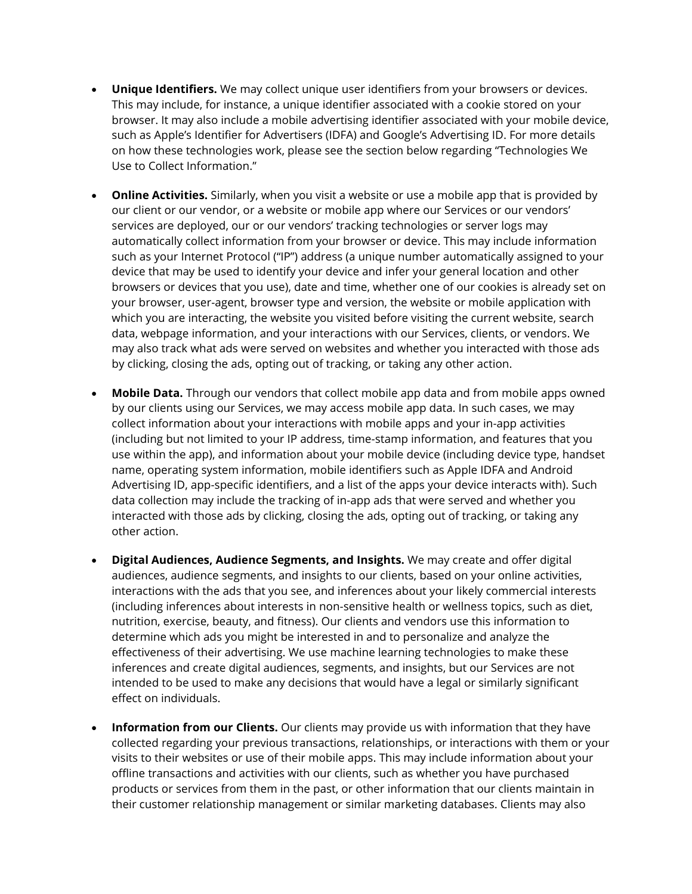- **Unique Identifiers.** We may collect unique user identifiers from your browsers or devices. This may include, for instance, a unique identifier associated with a cookie stored on your browser. It may also include a mobile advertising identifier associated with your mobile device, such as Apple's Identifier for Advertisers (IDFA) and Google's Advertising ID. For more details on how these technologies work, please see the section below regarding "Technologies We Use to Collect Information."
- **Online Activities.** Similarly, when you visit a website or use a mobile app that is provided by our client or our vendor, or a website or mobile app where our Services or our vendors' services are deployed, our or our vendors' tracking technologies or server logs may automatically collect information from your browser or device. This may include information such as your Internet Protocol ("IP") address (a unique number automatically assigned to your device that may be used to identify your device and infer your general location and other browsers or devices that you use), date and time, whether one of our cookies is already set on your browser, user-agent, browser type and version, the website or mobile application with which you are interacting, the website you visited before visiting the current website, search data, webpage information, and your interactions with our Services, clients, or vendors. We may also track what ads were served on websites and whether you interacted with those ads by clicking, closing the ads, opting out of tracking, or taking any other action.
- **Mobile Data.** Through our vendors that collect mobile app data and from mobile apps owned by our clients using our Services, we may access mobile app data. In such cases, we may collect information about your interactions with mobile apps and your in-app activities (including but not limited to your IP address, time-stamp information, and features that you use within the app), and information about your mobile device (including device type, handset name, operating system information, mobile identifiers such as Apple IDFA and Android Advertising ID, app-specific identifiers, and a list of the apps your device interacts with). Such data collection may include the tracking of in-app ads that were served and whether you interacted with those ads by clicking, closing the ads, opting out of tracking, or taking any other action.
- **Digital Audiences, Audience Segments, and Insights.** We may create and offer digital audiences, audience segments, and insights to our clients, based on your online activities, interactions with the ads that you see, and inferences about your likely commercial interests (including inferences about interests in non-sensitive health or wellness topics, such as diet, nutrition, exercise, beauty, and fitness). Our clients and vendors use this information to determine which ads you might be interested in and to personalize and analyze the effectiveness of their advertising. We use machine learning technologies to make these inferences and create digital audiences, segments, and insights, but our Services are not intended to be used to make any decisions that would have a legal or similarly significant effect on individuals.
- **Information from our Clients.** Our clients may provide us with information that they have collected regarding your previous transactions, relationships, or interactions with them or your visits to their websites or use of their mobile apps. This may include information about your offline transactions and activities with our clients, such as whether you have purchased products or services from them in the past, or other information that our clients maintain in their customer relationship management or similar marketing databases. Clients may also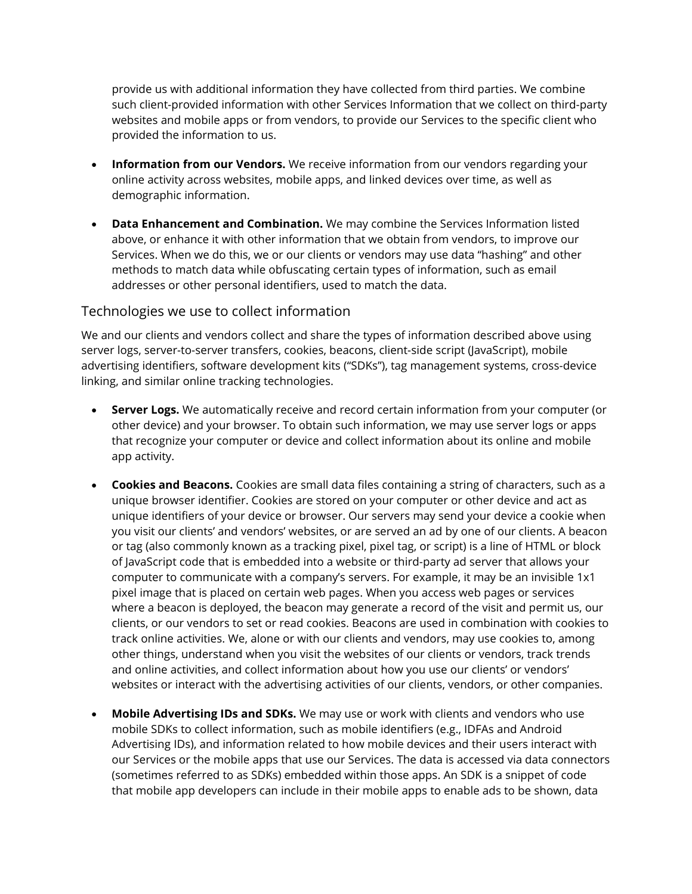provide us with additional information they have collected from third parties. We combine such client-provided information with other Services Information that we collect on third-party websites and mobile apps or from vendors, to provide our Services to the specific client who provided the information to us.

- **Information from our Vendors.** We receive information from our vendors regarding your online activity across websites, mobile apps, and linked devices over time, as well as demographic information.
- **Data Enhancement and Combination.** We may combine the Services Information listed above, or enhance it with other information that we obtain from vendors, to improve our Services. When we do this, we or our clients or vendors may use data "hashing" and other methods to match data while obfuscating certain types of information, such as email addresses or other personal identifiers, used to match the data.

#### Technologies we use to collect information

We and our clients and vendors collect and share the types of information described above using server logs, server-to-server transfers, cookies, beacons, client-side script (JavaScript), mobile advertising identifiers, software development kits ("SDKs"), tag management systems, cross-device linking, and similar online tracking technologies.

- **Server Logs.** We automatically receive and record certain information from your computer (or other device) and your browser. To obtain such information, we may use server logs or apps that recognize your computer or device and collect information about its online and mobile app activity.
- **Cookies and Beacons.** Cookies are small data files containing a string of characters, such as a unique browser identifier. Cookies are stored on your computer or other device and act as unique identifiers of your device or browser. Our servers may send your device a cookie when you visit our clients' and vendors' websites, or are served an ad by one of our clients. A beacon or tag (also commonly known as a tracking pixel, pixel tag, or script) is a line of HTML or block of JavaScript code that is embedded into a website or third-party ad server that allows your computer to communicate with a company's servers. For example, it may be an invisible 1x1 pixel image that is placed on certain web pages. When you access web pages or services where a beacon is deployed, the beacon may generate a record of the visit and permit us, our clients, or our vendors to set or read cookies. Beacons are used in combination with cookies to track online activities. We, alone or with our clients and vendors, may use cookies to, among other things, understand when you visit the websites of our clients or vendors, track trends and online activities, and collect information about how you use our clients' or vendors' websites or interact with the advertising activities of our clients, vendors, or other companies.
- **Mobile Advertising IDs and SDKs.** We may use or work with clients and vendors who use mobile SDKs to collect information, such as mobile identifiers (e.g., IDFAs and Android Advertising IDs), and information related to how mobile devices and their users interact with our Services or the mobile apps that use our Services. The data is accessed via data connectors (sometimes referred to as SDKs) embedded within those apps. An SDK is a snippet of code that mobile app developers can include in their mobile apps to enable ads to be shown, data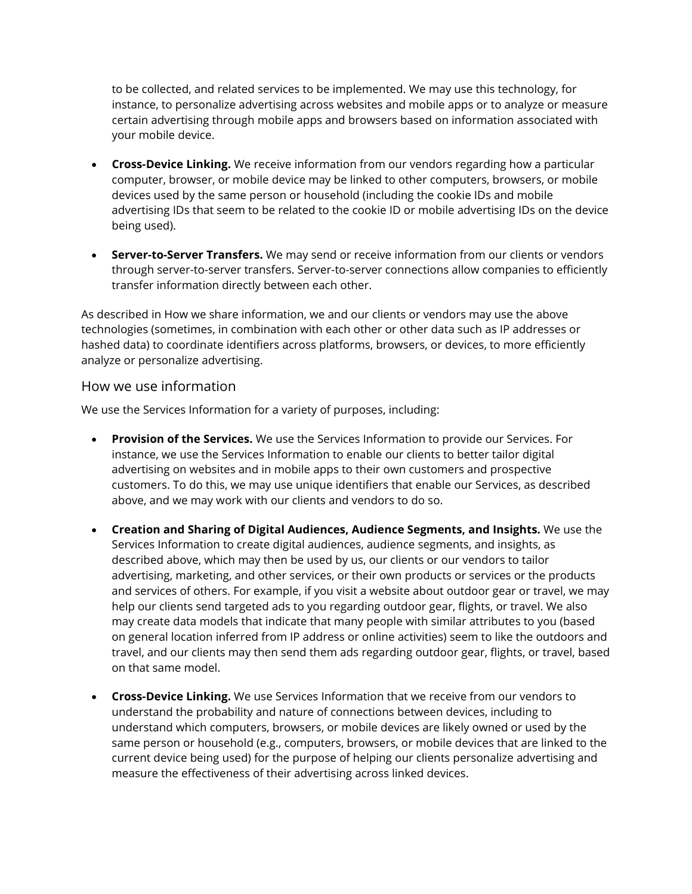to be collected, and related services to be implemented. We may use this technology, for instance, to personalize advertising across websites and mobile apps or to analyze or measure certain advertising through mobile apps and browsers based on information associated with your mobile device.

- **Cross-Device Linking.** We receive information from our vendors regarding how a particular computer, browser, or mobile device may be linked to other computers, browsers, or mobile devices used by the same person or household (including the cookie IDs and mobile advertising IDs that seem to be related to the cookie ID or mobile advertising IDs on the device being used).
- **Server-to-Server Transfers.** We may send or receive information from our clients or vendors through server-to-server transfers. Server-to-server connections allow companies to efficiently transfer information directly between each other.

As described in How we share information, we and our clients or vendors may use the above technologies (sometimes, in combination with each other or other data such as IP addresses or hashed data) to coordinate identifiers across platforms, browsers, or devices, to more efficiently analyze or personalize advertising.

#### How we use information

We use the Services Information for a variety of purposes, including:

- **Provision of the Services.** We use the Services Information to provide our Services. For instance, we use the Services Information to enable our clients to better tailor digital advertising on websites and in mobile apps to their own customers and prospective customers. To do this, we may use unique identifiers that enable our Services, as described above, and we may work with our clients and vendors to do so.
- **Creation and Sharing of Digital Audiences, Audience Segments, and Insights.** We use the Services Information to create digital audiences, audience segments, and insights, as described above, which may then be used by us, our clients or our vendors to tailor advertising, marketing, and other services, or their own products or services or the products and services of others. For example, if you visit a website about outdoor gear or travel, we may help our clients send targeted ads to you regarding outdoor gear, flights, or travel. We also may create data models that indicate that many people with similar attributes to you (based on general location inferred from IP address or online activities) seem to like the outdoors and travel, and our clients may then send them ads regarding outdoor gear, flights, or travel, based on that same model.
- **Cross-Device Linking.** We use Services Information that we receive from our vendors to understand the probability and nature of connections between devices, including to understand which computers, browsers, or mobile devices are likely owned or used by the same person or household (e.g., computers, browsers, or mobile devices that are linked to the current device being used) for the purpose of helping our clients personalize advertising and measure the effectiveness of their advertising across linked devices.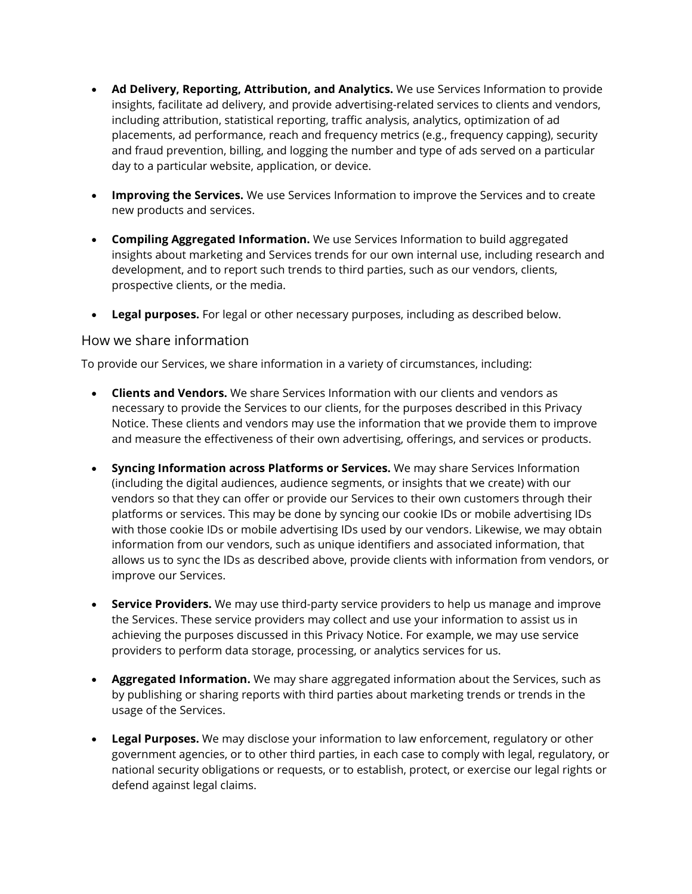- **Ad Delivery, Reporting, Attribution, and Analytics.** We use Services Information to provide insights, facilitate ad delivery, and provide advertising-related services to clients and vendors, including attribution, statistical reporting, traffic analysis, analytics, optimization of ad placements, ad performance, reach and frequency metrics (e.g., frequency capping), security and fraud prevention, billing, and logging the number and type of ads served on a particular day to a particular website, application, or device.
- **Improving the Services.** We use Services Information to improve the Services and to create new products and services.
- **Compiling Aggregated Information.** We use Services Information to build aggregated insights about marketing and Services trends for our own internal use, including research and development, and to report such trends to third parties, such as our vendors, clients, prospective clients, or the media.
- **Legal purposes.** For legal or other necessary purposes, including as described below.

#### How we share information

To provide our Services, we share information in a variety of circumstances, including:

- **Clients and Vendors.** We share Services Information with our clients and vendors as necessary to provide the Services to our clients, for the purposes described in this Privacy Notice. These clients and vendors may use the information that we provide them to improve and measure the effectiveness of their own advertising, offerings, and services or products.
- **Syncing Information across Platforms or Services.** We may share Services Information (including the digital audiences, audience segments, or insights that we create) with our vendors so that they can offer or provide our Services to their own customers through their platforms or services. This may be done by syncing our cookie IDs or mobile advertising IDs with those cookie IDs or mobile advertising IDs used by our vendors. Likewise, we may obtain information from our vendors, such as unique identifiers and associated information, that allows us to sync the IDs as described above, provide clients with information from vendors, or improve our Services.
- **Service Providers.** We may use third-party service providers to help us manage and improve the Services. These service providers may collect and use your information to assist us in achieving the purposes discussed in this Privacy Notice. For example, we may use service providers to perform data storage, processing, or analytics services for us.
- **Aggregated Information.** We may share aggregated information about the Services, such as by publishing or sharing reports with third parties about marketing trends or trends in the usage of the Services.
- **Legal Purposes.** We may disclose your information to law enforcement, regulatory or other government agencies, or to other third parties, in each case to comply with legal, regulatory, or national security obligations or requests, or to establish, protect, or exercise our legal rights or defend against legal claims.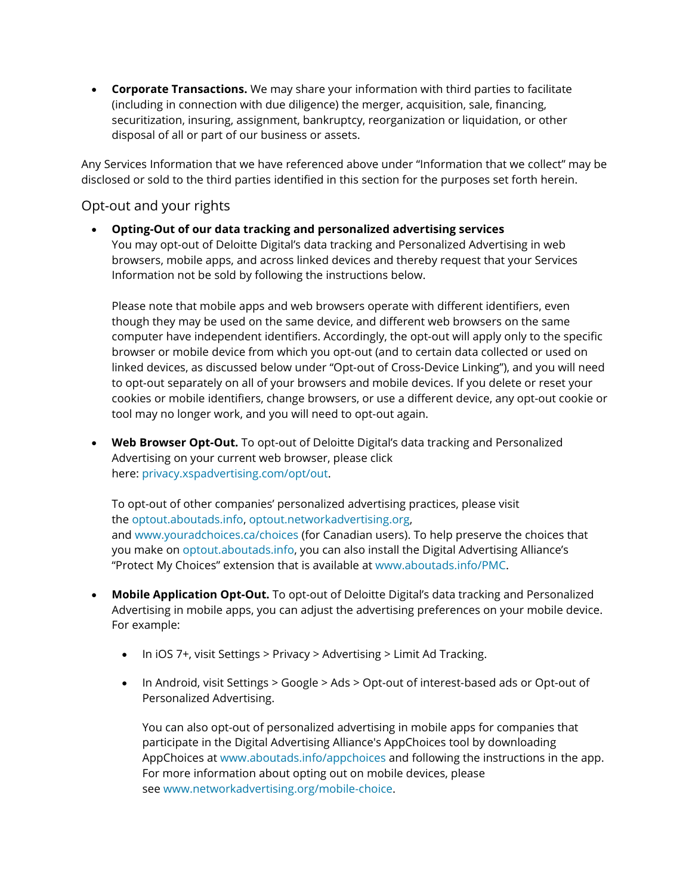• **Corporate Transactions.** We may share your information with third parties to facilitate (including in connection with due diligence) the merger, acquisition, sale, financing, securitization, insuring, assignment, bankruptcy, reorganization or liquidation, or other disposal of all or part of our business or assets.

Any Services Information that we have referenced above under "Information that we collect" may be disclosed or sold to the third parties identified in this section for the purposes set forth herein.

# Opt-out and your rights

• **Opting-Out of our data tracking and personalized advertising services** You may opt-out of Deloitte Digital's data tracking and Personalized Advertising in web browsers, mobile apps, and across linked devices and thereby request that your Services Information not be sold by following the instructions below.

Please note that mobile apps and web browsers operate with different identifiers, even though they may be used on the same device, and different web browsers on the same computer have independent identifiers. Accordingly, the opt-out will apply only to the specific browser or mobile device from which you opt-out (and to certain data collected or used on linked devices, as discussed below under "Opt-out of Cross-Device Linking"), and you will need to opt-out separately on all of your browsers and mobile devices. If you delete or reset your cookies or mobile identifiers, change browsers, or use a different device, any opt-out cookie or tool may no longer work, and you will need to opt-out again.

• **Web Browser Opt-Out.** To opt-out of Deloitte Digital's data tracking and Personalized Advertising on your current web browser, please click here: [privacy.xspadvertising.com/opt/out.](https://privacy.xspadvertising.com/opt/out)

To opt-out of other companies' personalized advertising practices, please visit the [optout.aboutads.info,](http://optout.aboutads.info/) [optout.networkadvertising.org,](http://optout.networkadvertising.org/) and [www.youradchoices.ca/choices](http://www.youradchoices.ca/choices) (for Canadian users). To help preserve the choices that you make on [optout.aboutads.info,](http://optout.aboutads.info/) you can also install the Digital Advertising Alliance's "Protect My Choices" extension that is available at [www.aboutads.info/PMC.](http://www.aboutads.info/PMC)

- **Mobile Application Opt-Out.** To opt-out of Deloitte Digital's data tracking and Personalized Advertising in mobile apps, you can adjust the advertising preferences on your mobile device. For example:
	- In iOS 7+, visit Settings > Privacy > Advertising > Limit Ad Tracking.
	- In Android, visit Settings > Google > Ads > Opt-out of interest-based ads or Opt-out of Personalized Advertising.

You can also opt-out of personalized advertising in mobile apps for companies that participate in the Digital Advertising Alliance's AppChoices tool by downloading AppChoices at [www.aboutads.info/appchoices](http://www.aboutads.info/appchoices) and following the instructions in the app. For more information about opting out on mobile devices, please see [www.networkadvertising.org/mobile-choice.](https://www.networkadvertising.org/mobile-choice)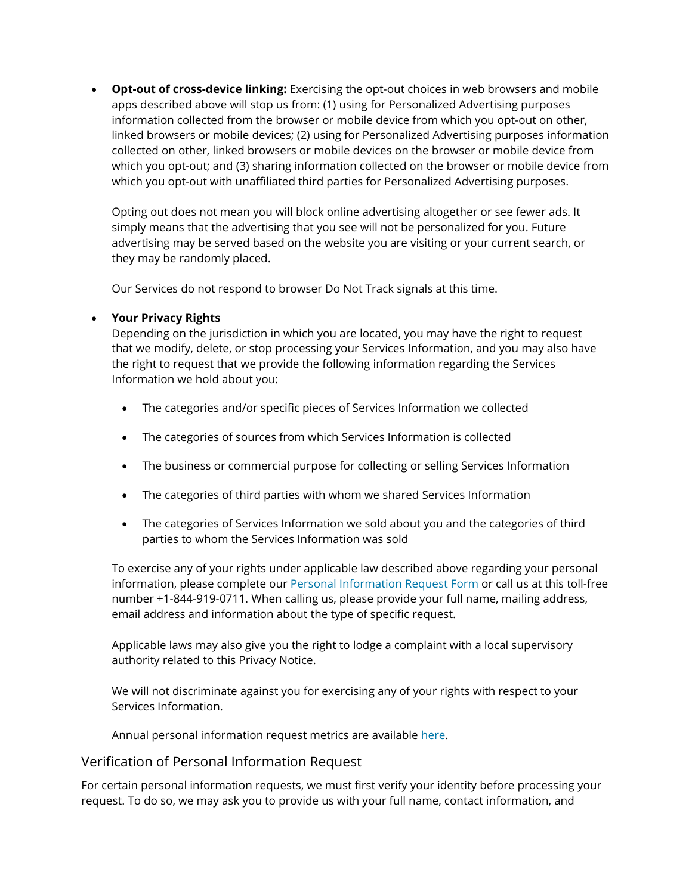• **Opt-out of cross-device linking:** Exercising the opt-out choices in web browsers and mobile apps described above will stop us from: (1) using for Personalized Advertising purposes information collected from the browser or mobile device from which you opt-out on other, linked browsers or mobile devices; (2) using for Personalized Advertising purposes information collected on other, linked browsers or mobile devices on the browser or mobile device from which you opt-out; and (3) sharing information collected on the browser or mobile device from which you opt-out with unaffiliated third parties for Personalized Advertising purposes.

Opting out does not mean you will block online advertising altogether or see fewer ads. It simply means that the advertising that you see will not be personalized for you. Future advertising may be served based on the website you are visiting or your current search, or they may be randomly placed.

Our Services do not respond to browser Do Not Track signals at this time.

#### • **Your Privacy Rights**

Depending on the jurisdiction in which you are located, you may have the right to request that we modify, delete, or stop processing your Services Information, and you may also have the right to request that we provide the following information regarding the Services Information we hold about you:

- The categories and/or specific pieces of Services Information we collected
- The categories of sources from which Services Information is collected
- The business or commercial purpose for collecting or selling Services Information
- The categories of third parties with whom we shared Services Information
- The categories of Services Information we sold about you and the categories of third parties to whom the Services Information was sold

To exercise any of your rights under applicable law described above regarding your personal information, please complete our [Personal Information Request Form](https://datasubject.deloitte.com/) or call us at this toll-free number +1-844-919-0711. When calling us, please provide your full name, mailing address, email address and information about the type of specific request.

Applicable laws may also give you the right to lodge a complaint with a local supervisory authority related to this Privacy Notice.

We will not discriminate against you for exercising any of your rights with respect to your Services Information.

Annual personal information request metrics are available [here.](https://www2.deloitte.com/content/dam/Deloitte/us/Documents/about-deloitte/us-about-consumer-personal-information-request-metrics.pdf)

#### Verification of Personal Information Request

For certain personal information requests, we must first verify your identity before processing your request. To do so, we may ask you to provide us with your full name, contact information, and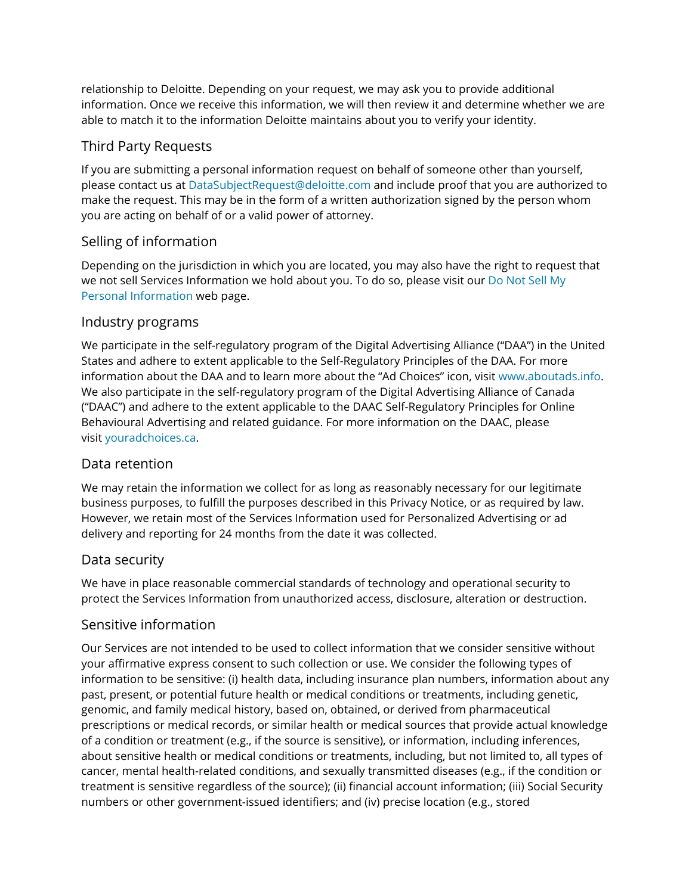relationship to Deloitte. Depending on your request, we may ask you to provide additional information. Once we receive this information, we will then review it and determine whether we are able to match it to the information Deloitte maintains about you to verify your identity.

# Third Party Requests

If you are submitting a personal information request on behalf of someone other than yourself, please contact us at [DataSubjectRequest@deloitte.com](mailto:DataSubjectRequest@deloitte.com) and include proof that you are authorized to make the request. This may be in the form of a written authorization signed by the person whom you are acting on behalf of or a valid power of attorney.

# Selling of information

Depending on the jurisdiction in which you are located, you may also have the right to request that we not sell Services Information we hold about you. To do so, please visit our [Do Not Sell My](https://www2.deloitte.com/us/en/legal/do-not-sell-my-personal-information.html)  [Personal Information](https://www2.deloitte.com/us/en/legal/do-not-sell-my-personal-information.html) web page.

# Industry programs

We participate in the self-regulatory program of the Digital Advertising Alliance ("DAA") in the United States and adhere to extent applicable to the Self-Regulatory Principles of the DAA. For more information about the DAA and to learn more about the "Ad Choices" icon, visit [www.aboutads.info.](http://www.aboutads.info/) We also participate in the self-regulatory program of the Digital Advertising Alliance of Canada ("DAAC") and adhere to the extent applicable to the DAAC Self-Regulatory Principles for Online Behavioural Advertising and related guidance. For more information on the DAAC, please visit [youradchoices.ca.](http://youradchoices.ca/)

## Data retention

We may retain the information we collect for as long as reasonably necessary for our legitimate business purposes, to fulfill the purposes described in this Privacy Notice, or as required by law. However, we retain most of the Services Information used for Personalized Advertising or ad delivery and reporting for 24 months from the date it was collected.

## Data security

We have in place reasonable commercial standards of technology and operational security to protect the Services Information from unauthorized access, disclosure, alteration or destruction.

## Sensitive information

Our Services are not intended to be used to collect information that we consider sensitive without your affirmative express consent to such collection or use. We consider the following types of information to be sensitive: (i) health data, including insurance plan numbers, information about any past, present, or potential future health or medical conditions or treatments, including genetic, genomic, and family medical history, based on, obtained, or derived from pharmaceutical prescriptions or medical records, or similar health or medical sources that provide actual knowledge of a condition or treatment (e.g., if the source is sensitive), or information, including inferences, about sensitive health or medical conditions or treatments, including, but not limited to, all types of cancer, mental health-related conditions, and sexually transmitted diseases (e.g., if the condition or treatment is sensitive regardless of the source); (ii) financial account information; (iii) Social Security numbers or other government-issued identifiers; and (iv) precise location (e.g., stored